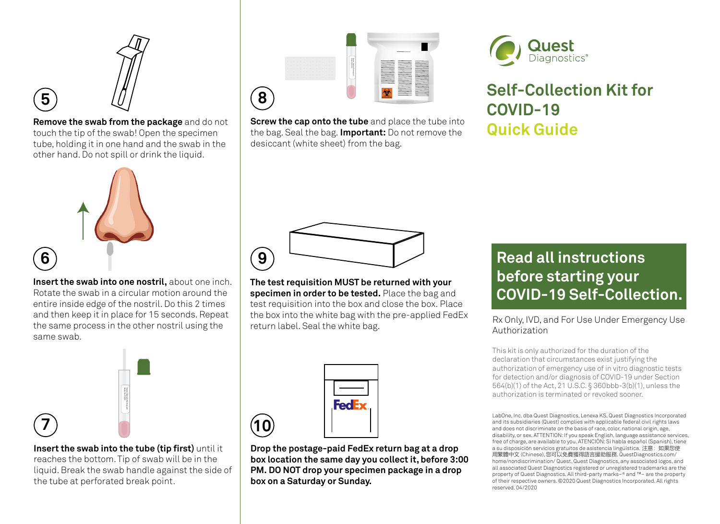

**5**

**6**

**Remove the swab from the package** and do not touch the tip of the swab! Open the specimen tube, holding it in one hand and the swab in the other hand. Do not spill or drink the liquid.



**Insert the swab into one nostril,** about one inch. Rotate the swab in a circular motion around the entire inside edge of the nostril. Do this 2 times and then keep it in place for 15 seconds. Repeat the same process in the other nostril using the same swab.



**Insert the swab into the tube (tip first)** until it reaches the bottom. Tip of swab will be in the liquid. Break the swab handle against the side of the tube at perforated break point.



**Screw the cap onto the tube** and place the tube into the bag. Seal the bag. **Important:** Do not remove the desiccant (white sheet) from the bag.



# **Self-Collection Kit for COVID-19 Quick Guide**

**9**

**The test requisition MUST be returned with your specimen in order to be tested.** Place the bag and test requisition into the box and close the box. Place the box into the white bag with the pre-applied FedEx the box into the white bag with the pre-applied FedEx Rx Only, IVD, and For Use Under Emergency Use<br>return label. Seal the white bag.

| <b>FedEx</b> |
|--------------|
|              |

**10**

**Drop the postage-paid FedEx return bag at a drop box location the same day you collect it, before 3:00 PM. DO NOT drop your specimen package in a drop box on a Saturday or Sunday.**

# **Read all instructions before starting your COVID-19 Self-Collection.**

Authorization

This kit is only authorized for the duration of the declaration that circumstances exist justifying the authorization of emergency use of in vitro diagnostic tests for detection and/or diagnosis of COVID-19 under Section 564(b)(1) of the Act, 21 U.S.C. § 360bbb-3(b)(1), unless the authorization is terminated or revoked sooner.

LabOne, Inc. dba Quest Diagnostics, Lenexa KS, Quest Diagnostics Incorporated and its subsidiaries (Quest) complies with applicable federal civil rights laws and does not discriminate on the basis of race, color, national origin, age, disability, or sex. ATTENTION: If you speak English, language assistance services, free of charge, are available to you. ATENCIÓN: Si habla español (Spanish), tiene a su disposición servicios gratuitos de asistencia lingüística. 注意:如果您使 用繁體中文 (Chinese), 您可以免費獲得語言援助服務. QuestDiagnostics.com/ home/nondiscrimination/ Quest, Quest Diagnostics, any associated logos, and all associated Quest Diagnostics registered or unregistered trademarks are the property of Quest Diagnostics. All third-party marks–® and ™– are the property of their respective owners. ©2020 Quest Diagnostics Incorporated. All rights reserved. 04/2020